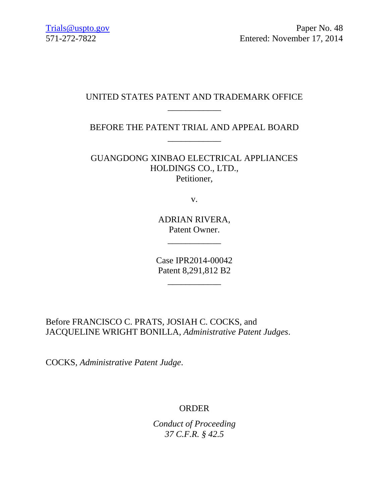## UNITED STATES PATENT AND TRADEMARK OFFICE \_\_\_\_\_\_\_\_\_\_\_\_

BEFORE THE PATENT TRIAL AND APPEAL BOARD \_\_\_\_\_\_\_\_\_\_\_\_

GUANGDONG XINBAO ELECTRICAL APPLIANCES HOLDINGS CO., LTD., Petitioner,

v.

ADRIAN RIVERA, Patent Owner.

\_\_\_\_\_\_\_\_\_\_\_\_

Case IPR2014-00042 Patent 8,291,812 B2

 $\overline{\phantom{a}}$  , where  $\overline{\phantom{a}}$  , where  $\overline{\phantom{a}}$  , where  $\overline{\phantom{a}}$ 

Before FRANCISCO C. PRATS, JOSIAH C. COCKS, and JACQUELINE WRIGHT BONILLA, *Administrative Patent Judges*.

COCKS, *Administrative Patent Judge*.

## ORDER

*Conduct of Proceeding 37 C.F.R. § 42.5*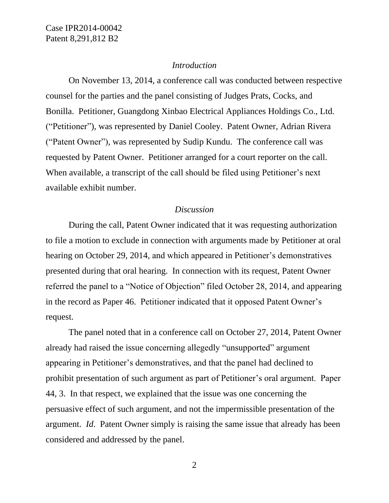Case IPR2014-00042 Patent 8,291,812 B2

#### *Introduction*

On November 13, 2014, a conference call was conducted between respective counsel for the parties and the panel consisting of Judges Prats, Cocks, and Bonilla. Petitioner, Guangdong Xinbao Electrical Appliances Holdings Co., Ltd. ("Petitioner"), was represented by Daniel Cooley. Patent Owner, Adrian Rivera ("Patent Owner"), was represented by Sudip Kundu. The conference call was requested by Patent Owner. Petitioner arranged for a court reporter on the call. When available, a transcript of the call should be filed using Petitioner's next available exhibit number.

#### *Discussion*

During the call, Patent Owner indicated that it was requesting authorization to file a motion to exclude in connection with arguments made by Petitioner at oral hearing on October 29, 2014, and which appeared in Petitioner's demonstratives presented during that oral hearing. In connection with its request, Patent Owner referred the panel to a "Notice of Objection" filed October 28, 2014, and appearing in the record as Paper 46. Petitioner indicated that it opposed Patent Owner's request.

The panel noted that in a conference call on October 27, 2014, Patent Owner already had raised the issue concerning allegedly "unsupported" argument appearing in Petitioner's demonstratives, and that the panel had declined to prohibit presentation of such argument as part of Petitioner's oral argument. Paper 44, 3. In that respect, we explained that the issue was one concerning the persuasive effect of such argument, and not the impermissible presentation of the argument. *Id*. Patent Owner simply is raising the same issue that already has been considered and addressed by the panel.

2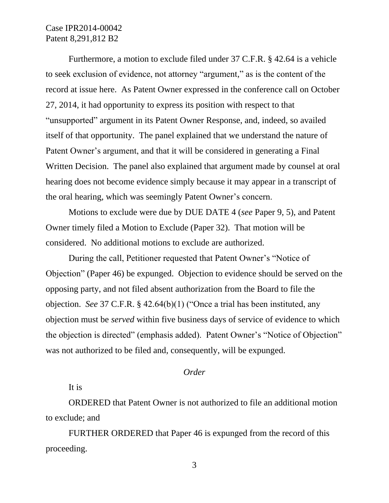# Case IPR2014-00042 Patent 8,291,812 B2

Furthermore, a motion to exclude filed under 37 C.F.R. § 42.64 is a vehicle to seek exclusion of evidence, not attorney "argument," as is the content of the record at issue here. As Patent Owner expressed in the conference call on October 27, 2014, it had opportunity to express its position with respect to that "unsupported" argument in its Patent Owner Response, and, indeed, so availed itself of that opportunity. The panel explained that we understand the nature of Patent Owner's argument, and that it will be considered in generating a Final Written Decision. The panel also explained that argument made by counsel at oral hearing does not become evidence simply because it may appear in a transcript of the oral hearing, which was seemingly Patent Owner's concern.

Motions to exclude were due by DUE DATE 4 (*see* Paper 9, 5), and Patent Owner timely filed a Motion to Exclude (Paper 32). That motion will be considered. No additional motions to exclude are authorized.

During the call, Petitioner requested that Patent Owner's "Notice of Objection" (Paper 46) be expunged. Objection to evidence should be served on the opposing party, and not filed absent authorization from the Board to file the objection. *See* 37 C.F.R. § 42.64(b)(1) ("Once a trial has been instituted, any objection must be *served* within five business days of service of evidence to which the objection is directed" (emphasis added). Patent Owner's "Notice of Objection" was not authorized to be filed and, consequently, will be expunged.

## *Order*

It is

ORDERED that Patent Owner is not authorized to file an additional motion to exclude; and

FURTHER ORDERED that Paper 46 is expunged from the record of this proceeding.

3